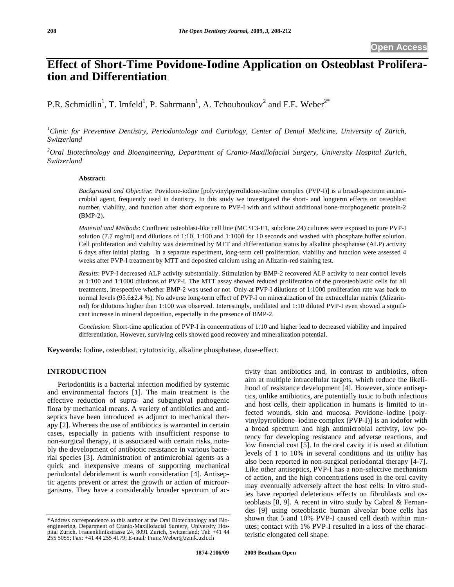# **Effect of Short-Time Povidone-Iodine Application on Osteoblast Proliferation and Differentiation**

P.R. Schmidlin<sup>1</sup>, T. Imfeld<sup>1</sup>, P. Sahrmann<sup>1</sup>, A. Tchouboukov<sup>2</sup> and F.E. Weber<sup>2\*</sup>

*1 Clinic for Preventive Dentistry, Periodontology and Cariology, Center of Dental Medicine, University of Zürich, Switzerland* 

*2 Oral Biotechnology and Bioengineering, Department of Cranio-Maxillofacial Surgery, University Hospital Zurich, Switzerland* 

## **Abstract:**

*Background and Objective*: Povidone-iodine [polyvinylpyrrolidone-iodine complex (PVP-I)] is a broad-spectrum antimicrobial agent, frequently used in dentistry. In this study we investigated the short- and longterm effects on osteoblast number, viability, and function after short exposure to PVP-I with and without additional bone-morphogenetic protein-2 (BMP-2).

*Material and Methods*: Confluent osteoblast-like cell line (MC3T3-E1, subclone 24) cultures were exposed to pure PVP-I solution (7.7 mg/ml) and dilutions of 1:10, 1:100 and 1:1000 for 10 seconds and washed with phosphate buffer solution. Cell proliferation and viability was determined by MTT and differentiation status by alkaline phosphatase (ALP) activity 6 days after initial plating. In a separate experiment, long-term cell proliferation, viability and function were assessed 4 weeks after PVP-I treatment by MTT and deposited calcium using an Alizarin-red staining test.

*Results*: PVP-I decreased ALP activity substantially. Stimulation by BMP-2 recovered ALP activity to near control levels at 1:100 and 1:1000 dilutions of PVP-I. The MTT assay showed reduced proliferation of the preosteoblastic cells for all treatments, irrespective whether BMP-2 was used or not. Only at PVP-I dilutions of 1:1000 proliferation rate was back to normal levels (95.6±2.4 %). No adverse long-term effect of PVP-I on mineralization of the extracellular matrix (Alizarinred) for dilutions higher than 1:100 was observed. Interestingly, undiluted and 1:10 diluted PVP-I even showed a significant increase in mineral deposition, especially in the presence of BMP-2.

*Conclusion*: Short-time application of PVP-I in concentrations of 1:10 and higher lead to decreased viability and impaired differentiation. However, surviving cells showed good recovery and mineralization potential.

**Keywords:** Iodine, osteoblast, cytotoxicity, alkaline phosphatase, dose-effect.

## **INTRODUCTION**

Periodontitis is a bacterial infection modified by systemic and environmental factors [1]. The main treatment is the effective reduction of supra- and subgingival pathogenic flora by mechanical means. A variety of antibiotics and antiseptics have been introduced as adjunct to mechanical therapy [2]. Whereas the use of antibiotics is warranted in certain cases, especially in patients with insufficient response to non-surgical therapy, it is associated with certain risks, notably the development of antibiotic resistance in various bacterial species [3]. Administration of antimicrobial agents as a quick and inexpensive means of supporting mechanical periodontal debridement is worth consideration [4]. Antiseptic agents prevent or arrest the growth or action of microorganisms. They have a considerably broader spectrum of activity than antibiotics and, in contrast to antibiotics, often aim at multiple intracellular targets, which reduce the likelihood of resistance development [4]. However, since antiseptics, unlike antibiotics, are potentially toxic to both infectious and host cells, their application in humans is limited to infected wounds, skin and mucosa. Povidone–iodine [polyvinylpyrrolidone–iodine complex (PVP-I)] is an iodofor with a broad spectrum and high antimicrobial activity, low potency for developing resistance and adverse reactions, and low financial cost [5]. In the oral cavity it is used at dilution levels of 1 to 10% in several conditions and its utility has also been reported in non-surgical periodontal therapy [4-7]. Like other antiseptics, PVP-I has a non-selective mechanism of action, and the high concentrations used in the oral cavity may eventually adversely affect the host cells. In vitro studies have reported deleterious effects on fibroblasts and osteoblasts [8, 9]. A recent in vitro study by Cabral & Fernandes [9] using osteoblastic human alveolar bone cells has shown that 5 and 10% PVP-I caused cell death within minutes; contact with 1% PVP-I resulted in a loss of the characteristic elongated cell shape.

<sup>\*</sup>Address correspondence to this author at the Oral Biotechnology and Bioengineering, Department of Cranio-Maxillofacial Surgery, University Hospital Zurich, Frauenklinikstrasse 24, 8091 Zurich, Switzerland; Tel: +41 44 255 5055; Fax: +41 44 255 4179; E-mail*:* Franz.Weber@zzmk.uzh.ch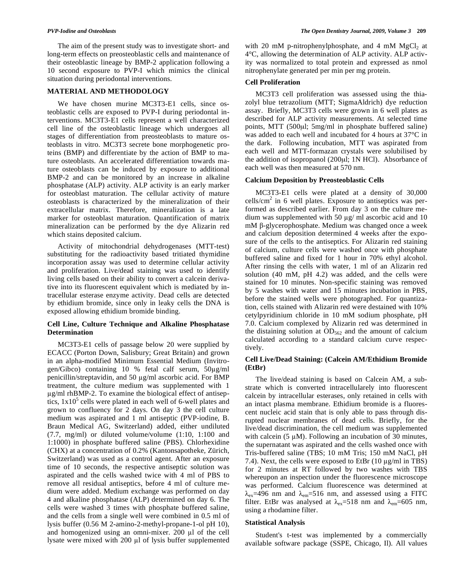The aim of the present study was to investigate short- and long-term effects on preosteoblastic cells and maintenance of their osteoblastic lineage by BMP-2 application following a 10 second exposure to PVP-I which mimics the clinical situation during periodontal interventions.

## **MATERIAL AND METHODOLOGY**

We have chosen murine MC3T3-E1 cells, since osteoblastic cells are exposed to PVP-I during periodontal interventions. MC3T3-E1 cells represent a well characterized cell line of the osteoblastic lineage which undergoes all stages of differentiation from preosteoblasts to mature osteoblasts in vitro. MC3T3 secrete bone morphogenetic proteins (BMP) and differentiate by the action of BMP to mature osteoblasts. An accelerated differentiation towards mature osteoblasts can be induced by exposure to additional BMP-2 and can be monitored by an increase in alkaline phosphatase (ALP) activity. ALP activity is an early marker for osteoblast maturation. The cellular activity of mature osteoblasts is characterized by the mineralization of their extracellular matrix. Therefore, mineralization is a late marker for osteoblast maturation. Quantification of matrix mineralization can be performed by the dye Alizarin red which stains deposited calcium.

Activity of mitochondrial dehydrogenases (MTT-test) substituting for the radioactivity based tritiated thymidine incorporation assay was used to determine cellular activity and proliferation. Live/dead staining was used to identify living cells based on their ability to convert a calcein derivative into its fluorescent equivalent which is mediated by intracellular esterase enzyme activity. Dead cells are detected by ethidium bromide, since only in leaky cells the DNA is exposed allowing ethidium bromide binding.

#### **Cell Line, Culture Technique and Alkaline Phosphatase Determination**

MC3T3-E1 cells of passage below 20 were supplied by ECACC (Porton Down, Salisbury; Great Britain) and grown in an alpha-modified Minimum Essential Medium (Invitrogen/Gibco) containing 10 % fetal calf serum, 50g/ml penicillin/streptavidin, and 50  $\mu$ g/ml ascorbic acid. For BMP treatment, the culture medium was supplemented with 1 g/ml rhBMP-2. To examine the biological effect of antiseptics,  $1x10<sup>5</sup>$  cells were plated in each well of 6-well plates and grown to confluency for 2 days. On day 3 the cell culture medium was aspirated and 1 ml antiseptic (PVP-iodine, B. Braun Medical AG, Switzerland) added, either undiluted (7.7, mg/ml) or diluted volume/volume (1:10, 1:100 and 1:1000) in phosphate buffered saline (PBS). Chlorhexidine (CHX) at a concentration of 0.2% (Kantonsapotheke, Zürich, Switzerland) was used as a control agent. After an exposure time of 10 seconds, the respective antiseptic solution was aspirated and the cells washed twice with 4 ml of PBS to remove all residual antiseptics, before 4 ml of culture medium were added. Medium exchange was performed on day 4 and alkaline phosphatase (ALP) determined on day 6. The cells were washed 3 times with phosphate buffered saline, and the cells from a single well were combined in 0.5 ml of lysis buffer (0.56 M 2-amino-2-methyl-propane-1-ol pH 10), and homogenized using an omni-mixer. 200  $\mu$ l of the cell lysate were mixed with  $200 \mu l$  of lysis buffer supplemented

with 20 mM p-nitrophenylphosphate, and 4 mM  $MgCl<sub>2</sub>$  at 4°C, allowing the determination of ALP activity. ALP activity was normalized to total protein and expressed as nmol nitrophenylate generated per min per mg protein.

#### **Cell Proliferation**

MC3T3 cell proliferation was assessed using the thiazolyl blue tetrazolium (MTT; SigmaAldrich) dye reduction assay. Briefly, MC3T3 cells were grown in 6 well plates as described for ALP activity measurements. At selected time points, MTT (500μl; 5mg/ml in phosphate buffered saline) was added to each well and incubated for 4 hours at 37°C in the dark. Following incubation, MTT was aspirated from each well and MTT-formazan crystals were solubilised by the addition of isopropanol (200μl; 1N HCl). Absorbance of each well was then measured at 570 nm.

## **Calcium Deposition by Preosteoblastic Cells**

MC3T3-E1 cells were plated at a density of 30,000 cells/ $\text{cm}^2$  in 6 well plates. Exposure to antiseptics was performed as described earlier. From day 3 on the culture medium was supplemented with 50  $\mu$ g/ ml ascorbic acid and 10 mM β-glycerophosphate. Medium was changed once a week and calcium deposition determined 4 weeks after the exposure of the cells to the antiseptics. For Alizarin red staining of calcium, culture cells were washed once with phosphate buffered saline and fixed for 1 hour in 70% ethyl alcohol. After rinsing the cells with water, 1 ml of an Alizarin red solution (40 mM, pH 4.2) was added, and the cells were stained for 10 minutes. Non-specific staining was removed by 5 washes with water and 15 minutes incubation in PBS, before the stained wells were photographed. For quantization, cells stained with Alizarin red were destained with 10% cetylpyridinium chloride in 10 mM sodium phosphate, pH 7.0. Calcium complexed by Alizarin red was determined in the distaining solution at  $OD<sub>562</sub>$  and the amount of calcium calculated according to a standard calcium curve respectively.

## **Cell Live/Dead Staining: (Calcein AM/Ethidium Bromide (EtBr)**

The live/dead staining is based on Calcein AM, a substrate which is converted intracellularely into fluorescent calcein by intracellular esterases, only retained in cells with an intact plasma membrane. Ethidium bromide is a fluorescent nucleic acid stain that is only able to pass through disrupted nuclear membranes of dead cells. Briefly, for the live/dead discrimination, the cell medium was supplemented with calcein (5  $\mu$ M). Following an incubation of 30 minutes, the supernatant was aspirated and the cells washed once with Tris-buffered saline (TBS; 10 mM Tris; 150 mM NaCl, pH 7.4). Next, the cells were exposed to EtBr  $(10 \mu g/ml \text{ in } TBS)$ for 2 minutes at RT followed by two washes with TBS whereupon an inspection under the fluorescence microscope was performed. Calcium fluorescence was determined at  $\lambda_{\rm ex}$ =496 nm and  $\lambda_{\rm em}$ =516 nm, and assessed using a FITC filter. EtBr was analysed at  $\lambda_{ex}=518$  nm and  $\lambda_{em}=605$  nm, using a rhodamine filter.

#### **Statistical Analysis**

Student's t-test was implemented by a commercially available software package (SSPE, Chicago, Il). All values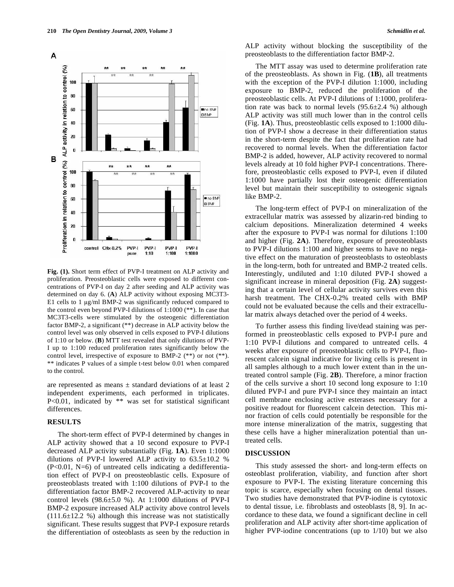

**Fig. (1).** Short term effect of PVP-I treatment on ALP activity and proliferation. Preosteoblastic cells were exposed to different concentrations of PVP-I on day 2 after seeding and ALP activity was determined on day 6. (**A**) ALP activity without exposing MC3T3- E1 cells to 1  $\mu$ g/ml BMP-2 was significantly reduced compared to the control even beyond PVP-I dilutions of 1:1000 (\*\*). In case that MC3T3-cells were stimulated by the osteogenic differentiation factor BMP-2, a significant (\*\*) decrease in ALP activity below the control level was only observed in cells exposed to PVP-I dilutions of 1:10 or below. (**B**) MTT test revealed that only dilutions of PVP-I up to 1:100 reduced proliferation rates significantly below the control level, irrespective of exposure to BMP-2 (\*\*) or not (\*\*). \*\* indicates P values of a simple t-test below 0.01 when compared to the control.

are represented as means  $\pm$  standard deviations of at least 2 independent experiments, each performed in triplicates. P<0.01, indicated by \*\* was set for statistical significant differences.

#### **RESULTS**

The short-term effect of PVP-I determined by changes in ALP activity showed that a 10 second exposure to PVP-I decreased ALP activity substantially (Fig. **1A**). Even 1:1000 dilutions of PVP-I lowered ALP activity to  $63.5 \pm 10.2$  %  $(P<0.01, N=6)$  of untreated cells indicating a dedifferentiation effect of PVP-I on preosteoblastic cells. Exposure of preosteoblasts treated with 1:100 dilutions of PVP-I to the differentiation factor BMP-2 recovered ALP-activity to near control levels  $(98.6\pm5.0 \%)$ . At 1:1000 dilutions of PVP-I BMP-2 exposure increased ALP activity above control levels  $(111.6\pm12.2 \%)$  although this increase was not statistically significant. These results suggest that PVP-I exposure retards the differentiation of osteoblasts as seen by the reduction in

ALP activity without blocking the susceptibility of the preosteoblasts to the differentiation factor BMP-2.

The MTT assay was used to determine proliferation rate of the preosteoblasts. As shown in Fig. (**1B**), all treatments with the exception of the PVP-I dilution 1:1000, including exposure to BMP-2, reduced the proliferation of the preosteoblastic cells. At PVP-I dilutions of 1:1000, proliferation rate was back to normal levels  $(95.6\pm 2.4 \%)$  although ALP activity was still much lower than in the control cells (Fig. **1A**). Thus, preosteoblastic cells exposed to 1:1000 dilution of PVP-I show a decrease in their differentiation status in the short-term despite the fact that proliferation rate had recovered to normal levels. When the differentiation factor BMP-2 is added, however, ALP activity recovered to normal levels already at 10 fold higher PVP-I concentrations. Therefore, preosteoblastic cells exposed to PVP-I, even if diluted 1:1000 have partially lost their osteogenic differentiation level but maintain their susceptibility to osteogenic signals like BMP-2.

The long-term effect of PVP-I on mineralization of the extracellular matrix was assessed by alizarin-red binding to calcium depositions. Mineralization determined 4 weeks after the exposure to PVP-I was normal for dilutions 1:100 and higher (Fig. **2A**). Therefore, exposure of preosteoblasts to PVP-I dilutions 1:100 and higher seems to have no negative effect on the maturation of preosteoblasts to osteoblasts in the long-term, both for untreated and BMP-2 treated cells. Interestingly, undiluted and 1:10 diluted PVP-I showed a significant increase in mineral deposition (Fig. **2A**) suggesting that a certain level of cellular activity survives even this harsh treatment. The CHX-0.2% treated cells with BMP could not be evaluated because the cells and their extracellular matrix always detached over the period of 4 weeks.

To further assess this finding live/dead staining was performed in preosteoblastic cells exposed to PVP-I pure and 1:10 PVP-I dilutions and compared to untreated cells. 4 weeks after exposure of preosteoblastic cells to PVP-I, fluorescent calcein signal indicative for living cells is present in all samples although to a much lower extent than in the untreated control sample (Fig. **2B**). Therefore, a minor fraction of the cells survive a short 10 second long exposure to 1:10 diluted PVP-I and pure PVP-I since they maintain an intact cell membrane enclosing active esterases necessary for a positive readout for fluorescent calcein detection. This minor fraction of cells could potentially be responsible for the more intense mineralization of the matrix, suggesting that these cells have a higher mineralization potential than untreated cells.

## **DISCUSSION**

This study assessed the short- and long-term effects on osteoblast proliferation, viability, and function after short exposure to PVP-I. The existing literature concerning this topic is scarce, especially when focusing on dental tissues. Two studies have demonstrated that PVP-iodine is cytotoxic to dental tissue, i.e. fibroblasts and osteoblasts [8, 9]. In accordance to these data, we found a significant decline in cell proliferation and ALP activity after short-time application of higher PVP-iodine concentrations (up to 1/10) but we also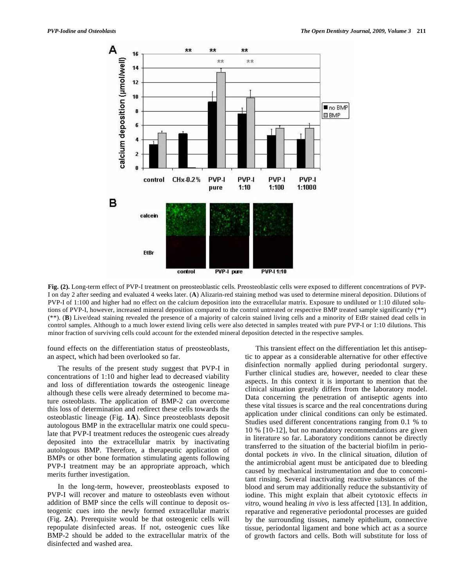

**Fig. (2).** Long-term effect of PVP-I treatment on preosteoblastic cells. Preosteoblastic cells were exposed to different concentrations of PVP-I on day 2 after seeding and evaluated 4 weeks later. (**A**) Alizarin-red staining method was used to determine mineral deposition. Dilutions of PVP-I of 1:100 and higher had no effect on the calcium deposition into the extracellular matrix. Exposure to undiluted or 1:10 diluted solutions of PVP-I, however, increased mineral deposition compared to the control untreated or respective BMP treated sample significantly (\*\*) (\*\*). (**B**) Live/dead staining revealed the presence of a majority of calcein stained living cells and a minority of EtBr stained dead cells in control samples. Although to a much lower extend living cells were also detected in samples treated with pure PVP-I or 1:10 dilutions. This minor fraction of surviving cells could account for the extended mineral deposition detected in the respective samples.

found effects on the differentiation status of preosteoblasts, an aspect, which had been overlooked so far.

The results of the present study suggest that PVP-I in concentrations of 1:10 and higher lead to decreased viability and loss of differentiation towards the osteogenic lineage although these cells were already determined to become mature osteoblasts. The application of BMP-2 can overcome this loss of determination and redirect these cells towards the osteoblastic lineage (Fig. **1A**). Since preosteoblasts deposit autologous BMP in the extracellular matrix one could speculate that PVP-I treatment reduces the osteogenic cues already deposited into the extracellular matrix by inactivating autologous BMP. Therefore, a therapeutic application of BMPs or other bone formation stimulating agents following PVP-I treatment may be an appropriate approach, which merits further investigation.

In the long-term, however, preosteoblasts exposed to PVP-I will recover and mature to osteoblasts even without addition of BMP since the cells will continue to deposit osteogenic cues into the newly formed extracellular matrix (Fig. **2A**). Prerequisite would be that osteogenic cells will repopulate disinfected areas. If not, osteogenic cues like BMP-2 should be added to the extracellular matrix of the disinfected and washed area.

This transient effect on the differentiation let this antiseptic to appear as a considerable alternative for other effective disinfection normally applied during periodontal surgery. Further clinical studies are, however, needed to clear these aspects. In this context it is important to mention that the clinical situation greatly differs from the laboratory model. Data concerning the penetration of antiseptic agents into these vital tissues is scarce and the real concentrations during application under clinical conditions can only be estimated. Studies used different concentrations ranging from 0.1 % to 10 % [10-12], but no mandatory recommendations are given in literature so far. Laboratory conditions cannot be directly transferred to the situation of the bacterial biofilm in periodontal pockets *in vivo*. In the clinical situation, dilution of the antimicrobial agent must be anticipated due to bleeding caused by mechanical instrumentation and due to concomitant rinsing. Several inactivating reactive substances of the blood and serum may additionally reduce the substantivity of iodine. This might explain that albeit cytotoxic effects *in vitro*, wound healing *in vivo* is less affected [13]. In addition, reparative and regenerative periodontal processes are guided by the surrounding tissues, namely epithelium, connective tissue, periodontal ligament and bone which act as a source of growth factors and cells. Both will substitute for loss of